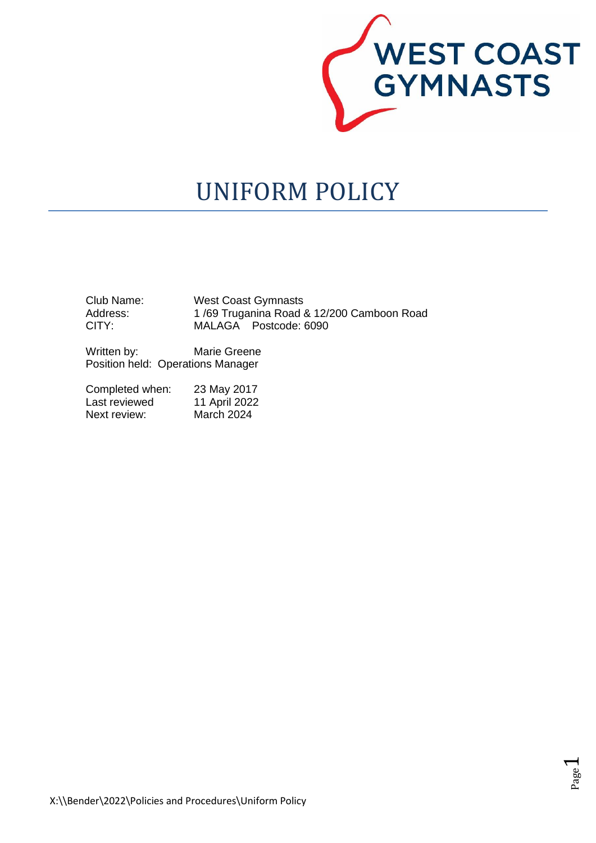

# UNIFORM POLICY

| Club Name: | <b>West Coast Gymnasts</b>                |  |
|------------|-------------------------------------------|--|
| Address:   | 1/69 Truganina Road & 12/200 Camboon Road |  |
| CITY:      | MALAGA Postcode: 6090                     |  |

Written by: Marie Greene Position held: Operations Manager

| Completed when: | 23 May 2017   |
|-----------------|---------------|
| Last reviewed   | 11 April 2022 |
| Next review:    | March 2024    |

Page  $\overline{\phantom{0}}$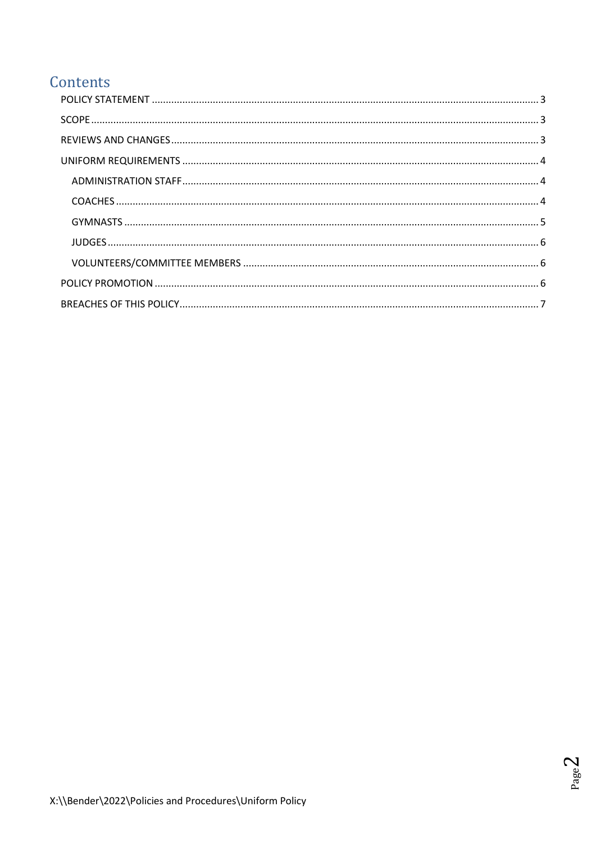# Contents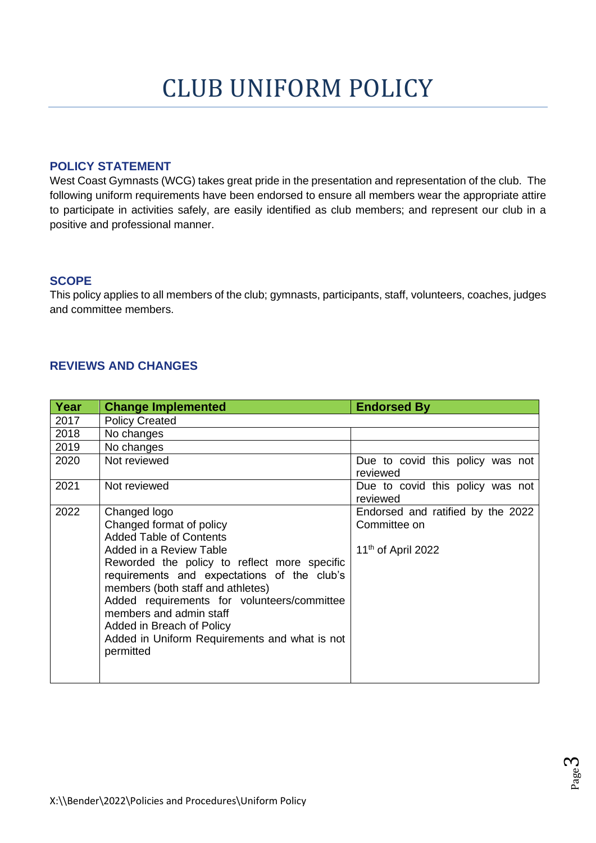#### <span id="page-2-0"></span>**POLICY STATEMENT**

West Coast Gymnasts (WCG) takes great pride in the presentation and representation of the club. The following uniform requirements have been endorsed to ensure all members wear the appropriate attire to participate in activities safely, are easily identified as club members; and represent our club in a positive and professional manner.

#### <span id="page-2-1"></span>**SCOPE**

This policy applies to all members of the club; gymnasts, participants, staff, volunteers, coaches, judges and committee members.

#### <span id="page-2-2"></span>**REVIEWS AND CHANGES**

| Year | <b>Change Implemented</b>                                                                                                                                                                                                                                                                                                                        | <b>Endorsed By</b>                                                                  |
|------|--------------------------------------------------------------------------------------------------------------------------------------------------------------------------------------------------------------------------------------------------------------------------------------------------------------------------------------------------|-------------------------------------------------------------------------------------|
| 2017 | <b>Policy Created</b>                                                                                                                                                                                                                                                                                                                            |                                                                                     |
| 2018 | No changes                                                                                                                                                                                                                                                                                                                                       |                                                                                     |
| 2019 | No changes                                                                                                                                                                                                                                                                                                                                       |                                                                                     |
| 2020 | Not reviewed                                                                                                                                                                                                                                                                                                                                     | Due to covid this policy was not<br>reviewed                                        |
| 2021 | Not reviewed                                                                                                                                                                                                                                                                                                                                     | Due to covid this policy was not<br>reviewed                                        |
| 2022 | Changed logo<br>Changed format of policy<br><b>Added Table of Contents</b><br>Added in a Review Table<br>Reworded the policy to reflect more specific<br>requirements and expectations of the club's<br>members (both staff and athletes)<br>Added requirements for volunteers/committee<br>members and admin staff<br>Added in Breach of Policy | Endorsed and ratified by the 2022<br>Committee on<br>11 <sup>th</sup> of April 2022 |
|      | Added in Uniform Requirements and what is not<br>permitted                                                                                                                                                                                                                                                                                       |                                                                                     |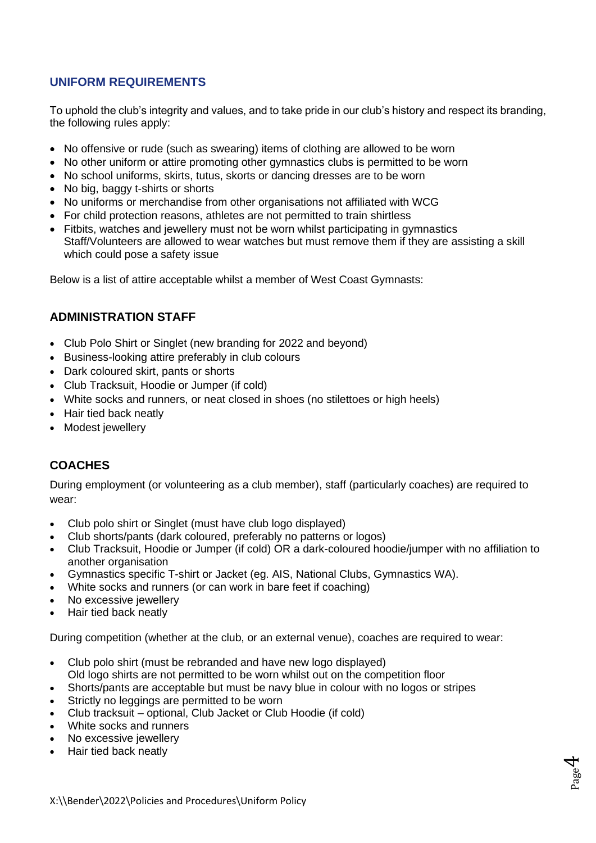# <span id="page-3-0"></span>**UNIFORM REQUIREMENTS**

To uphold the club's integrity and values, and to take pride in our club's history and respect its branding, the following rules apply:

- No offensive or rude (such as swearing) items of clothing are allowed to be worn
- No other uniform or attire promoting other gymnastics clubs is permitted to be worn
- No school uniforms, skirts, tutus, skorts or dancing dresses are to be worn
- No big, baggy t-shirts or shorts
- No uniforms or merchandise from other organisations not affiliated with WCG
- For child protection reasons, athletes are not permitted to train shirtless
- Fitbits, watches and jewellery must not be worn whilst participating in gymnastics Staff/Volunteers are allowed to wear watches but must remove them if they are assisting a skill which could pose a safety issue

<span id="page-3-1"></span>Below is a list of attire acceptable whilst a member of West Coast Gymnasts:

#### **ADMINISTRATION STAFF**

- Club Polo Shirt or Singlet (new branding for 2022 and beyond)
- Business-looking attire preferably in club colours
- Dark coloured skirt, pants or shorts
- Club Tracksuit, Hoodie or Jumper (if cold)
- White socks and runners, or neat closed in shoes (no stilettoes or high heels)
- Hair tied back neatly
- <span id="page-3-2"></span>• Modest jewellery

# **COACHES**

During employment (or volunteering as a club member), staff (particularly coaches) are required to wear:

- Club polo shirt or Singlet (must have club logo displayed)
- Club shorts/pants (dark coloured, preferably no patterns or logos)
- Club Tracksuit, Hoodie or Jumper (if cold) OR a dark-coloured hoodie/jumper with no affiliation to another organisation

Page 4

- Gymnastics specific T-shirt or Jacket (eg. AIS, National Clubs, Gymnastics WA).
- White socks and runners (or can work in bare feet if coaching)
- No excessive jewellery
- Hair tied back neatly

During competition (whether at the club, or an external venue), coaches are required to wear:

- Club polo shirt (must be rebranded and have new logo displayed)
- Old logo shirts are not permitted to be worn whilst out on the competition floor
- Shorts/pants are acceptable but must be navy blue in colour with no logos or stripes
- Strictly no leggings are permitted to be worn
- Club tracksuit optional, Club Jacket or Club Hoodie (if cold)
- White socks and runners
- No excessive jewellery
- Hair tied back neatly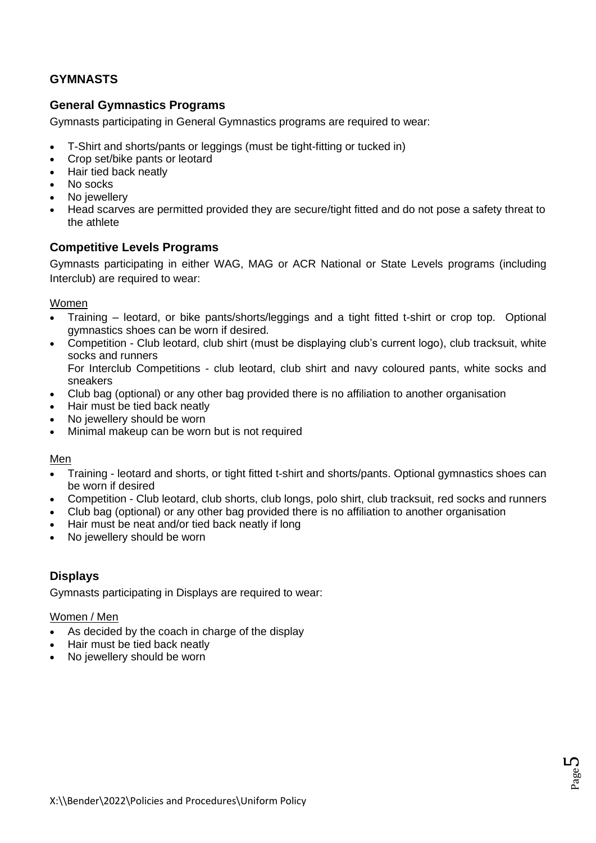# <span id="page-4-0"></span>**GYMNASTS**

#### **General Gymnastics Programs**

Gymnasts participating in General Gymnastics programs are required to wear:

- T-Shirt and shorts/pants or leggings (must be tight-fitting or tucked in)
- Crop set/bike pants or leotard
- Hair tied back neatly
- No socks
- No *iewellerv*
- Head scarves are permitted provided they are secure/tight fitted and do not pose a safety threat to the athlete

#### **Competitive Levels Programs**

Gymnasts participating in either WAG, MAG or ACR National or State Levels programs (including Interclub) are required to wear:

#### Women

- Training leotard, or bike pants/shorts/leggings and a tight fitted t-shirt or crop top. Optional gymnastics shoes can be worn if desired.
- Competition Club leotard, club shirt (must be displaying club's current logo), club tracksuit, white socks and runners For Interclub Competitions - club leotard, club shirt and navy coloured pants, white socks and sneakers
- Club bag (optional) or any other bag provided there is no affiliation to another organisation
- Hair must be tied back neatly
- No jewellery should be worn
- Minimal makeup can be worn but is not required

#### Men

- Training leotard and shorts, or tight fitted t-shirt and shorts/pants. Optional gymnastics shoes can be worn if desired
- Competition Club leotard, club shorts, club longs, polo shirt, club tracksuit, red socks and runners
- Club bag (optional) or any other bag provided there is no affiliation to another organisation
- Hair must be neat and/or tied back neatly if long
- No jewellery should be worn

# **Displays**

Gymnasts participating in Displays are required to wear:

#### Women / Men

- As decided by the coach in charge of the display
- Hair must be tied back neatly
- No jewellery should be worn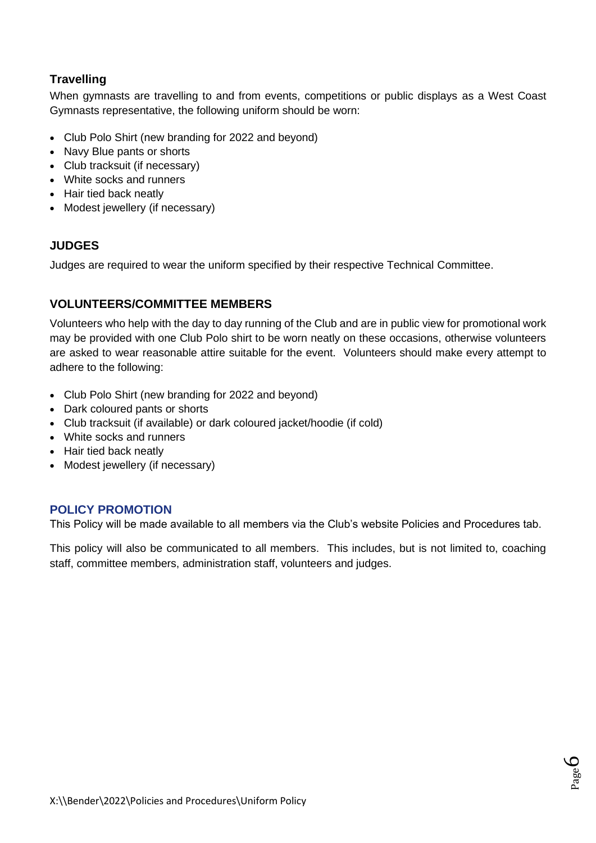# **Travelling**

When gymnasts are travelling to and from events, competitions or public displays as a West Coast Gymnasts representative, the following uniform should be worn:

- Club Polo Shirt (new branding for 2022 and beyond)
- Navy Blue pants or shorts
- Club tracksuit (if necessary)
- White socks and runners
- Hair tied back neatly
- <span id="page-5-0"></span>• Modest jewellery (if necessary)

#### **JUDGES**

Judges are required to wear the uniform specified by their respective Technical Committee.

#### <span id="page-5-1"></span>**VOLUNTEERS/COMMITTEE MEMBERS**

Volunteers who help with the day to day running of the Club and are in public view for promotional work may be provided with one Club Polo shirt to be worn neatly on these occasions, otherwise volunteers are asked to wear reasonable attire suitable for the event. Volunteers should make every attempt to adhere to the following:

- Club Polo Shirt (new branding for 2022 and beyond)
- Dark coloured pants or shorts
- Club tracksuit (if available) or dark coloured jacket/hoodie (if cold)
- White socks and runners
- Hair tied back neatly
- Modest jewellery (if necessary)

#### <span id="page-5-2"></span>**POLICY PROMOTION**

This Policy will be made available to all members via the Club's website Policies and Procedures tab.

This policy will also be communicated to all members. This includes, but is not limited to, coaching staff, committee members, administration staff, volunteers and judges.